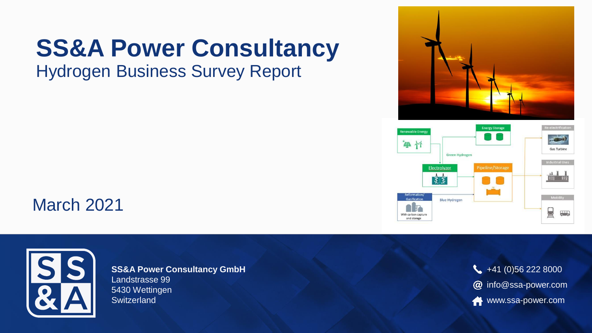### **SS&A Power Consultancy** Hydrogen Business Survey Report



**SS&A Power Consultancy GmbH** Landstrasse 99 5430 Wettingen **Switzerland** 







### March 2021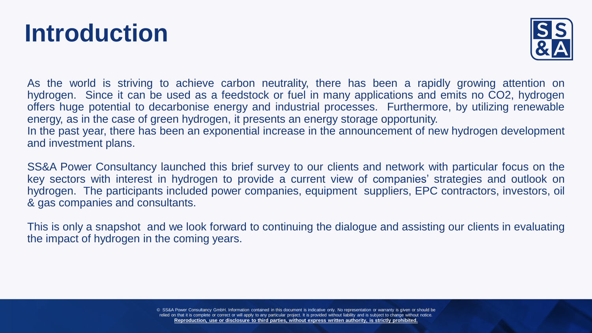## **Introduction**



As the world is striving to achieve carbon neutrality, there has been a rapidly growing attention on hydrogen. Since it can be used as a feedstock or fuel in many applications and emits no CO2, hydrogen offers huge potential to decarbonise energy and industrial processes. Furthermore, by utilizing renewable energy, as in the case of green hydrogen, it presents an energy storage opportunity.

In the past year, there has been an exponential increase in the announcement of new hydrogen development and investment plans.

SS&A Power Consultancy launched this brief survey to our clients and network with particular focus on the key sectors with interest in hydrogen to provide a current view of companies' strategies and outlook on hydrogen. The participants included power companies, equipment suppliers, EPC contractors, investors, oil & gas companies and consultants.

This is only a snapshot and we look forward to continuing the dialogue and assisting our clients in evaluating the impact of hydrogen in the coming years.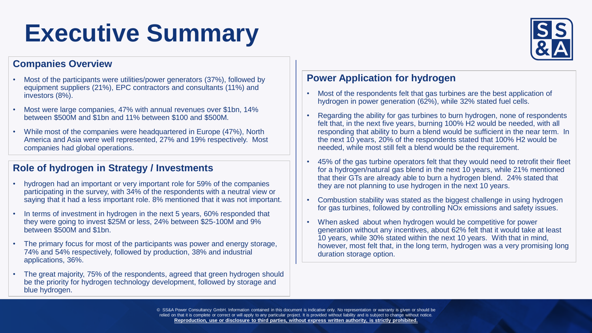# **Executive Summary**



#### **Companies Overview**

- Most of the participants were utilities/power generators (37%), followed by equipment suppliers (21%), EPC contractors and consultants (11%) and investors (8%).
- Most were large companies, 47% with annual revenues over \$1bn, 14% between \$500M and \$1bn and 11% between \$100 and \$500M.
- While most of the companies were headquartered in Europe (47%), North America and Asia were well represented, 27% and 19% respectively. Most companies had global operations.

#### **Role of hydrogen in Strategy / Investments**

- hydrogen had an important or very important role for 59% of the companies participating in the survey, with 34% of the respondents with a neutral view or saying that it had a less important role. 8% mentioned that it was not important.
- In terms of investment in hydrogen in the next 5 years, 60% responded that they were going to invest \$25M or less, 24% between \$25-100M and 9% between \$500M and \$1bn.
- The primary focus for most of the participants was power and energy storage, 74% and 54% respectively, followed by production, 38% and industrial applications, 36%.
- The great majority, 75% of the respondents, agreed that green hydrogen should be the priority for hydrogen technology development, followed by storage and blue hydrogen.

#### **Power Application for hydrogen**

- Most of the respondents felt that gas turbines are the best application of hydrogen in power generation (62%), while 32% stated fuel cells.
- Regarding the ability for gas turbines to burn hydrogen, none of respondents felt that, in the next five years, burning 100% H2 would be needed, with all responding that ability to burn a blend would be sufficient in the near term. In the next 10 years, 20% of the respondents stated that 100% H2 would be needed, while most still felt a blend would be the requirement.
- 45% of the gas turbine operators felt that they would need to retrofit their fleet for a hydrogen/natural gas blend in the next 10 years, while 21% mentioned that their GTs are already able to burn a hydrogen blend. 24% stated that they are not planning to use hydrogen in the next 10 years.
- Combustion stability was stated as the biggest challenge in using hydrogen for gas turbines, followed by controlling NOx emissions and safety issues.
- When asked about when hydrogen would be competitive for power generation without any incentives, about 62% felt that it would take at least 10 years, while 30% stated within the next 10 years. With that in mind, however, most felt that, in the long term, hydrogen was a very promising long duration storage option.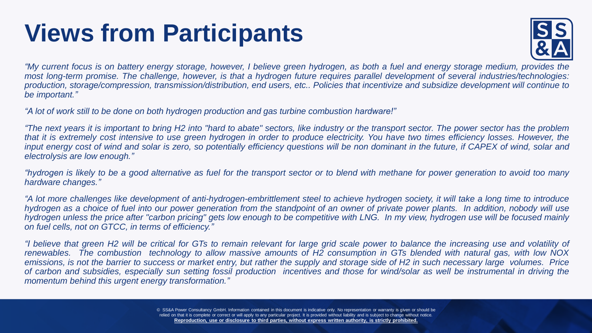# **Views from Participants**



"My current focus is on battery energy storage, however, I believe green hydrogen, as both a fuel and energy storage medium, provides the most long-term promise. The challenge, however, is that a hydrogen future requires parallel development of several industries/technologies: production, storage/compression, transmission/distribution, end users, etc.. Policies that incentivize and subsidize development will continue to *be important."*

*"A lot of work still to be done on both hydrogen production and gas turbine combustion hardware!"*

"The next years it is important to bring H2 into "hard to abate" sectors, like industry or the transport sector. The power sector has the problem that it is extremely cost intensive to use green hydrogen in order to produce electricity. You have two times efficiency losses. However, the input energy cost of wind and solar is zero, so potentially efficiency questions will be non dominant in the future, if CAPEX of wind, solar and *electrolysis are low enough."*

"hydrogen is likely to be a good alternative as fuel for the transport sector or to blend with methane for power generation to avoid too many *hardware changes."*

"A lot more challenges like development of anti-hydrogen-embrittlement steel to achieve hydrogen society, it will take a long time to introduce hydrogen as a choice of fuel into our power generation from the standpoint of an owner of private power plants. In addition, nobody will use hydrogen unless the price after "carbon pricing" gets low enough to be competitive with LNG. In my view, hydrogen use will be focused mainly *on fuel cells, not on GTCC, in terms of efficiency."*

"I believe that green H2 will be critical for GTs to remain relevant for large grid scale power to balance the increasing use and volatility of renewables. The combustion technology to allow massive amounts of H2 consumption in GTs blended with natural gas, with low NOX emissions, is not the barrier to success or market entry, but rather the supply and storage side of H2 in such necessary large volumes. Price of carbon and subsidies, especially sun setting fossil production incentives and those for wind/solar as well be instrumental in driving the *momentum behind this urgent energy transformation."*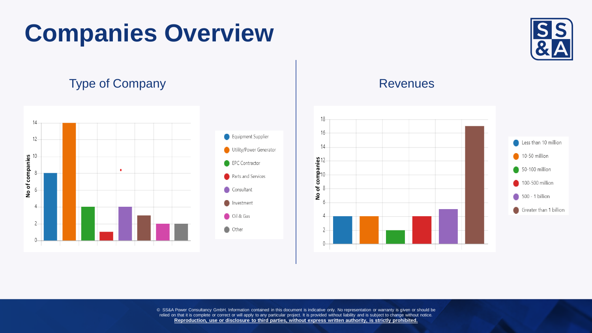# **Companies Overview**



### Type of Company





### Revenues

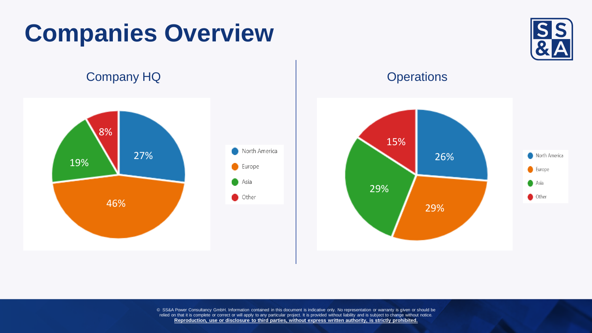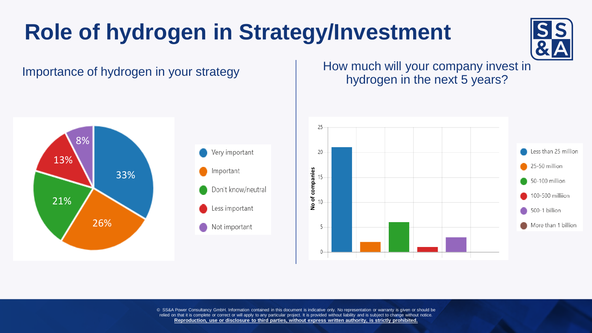

### Importance of hydrogen in your strategy

How much will your company invest in hydrogen in the next 5 years?



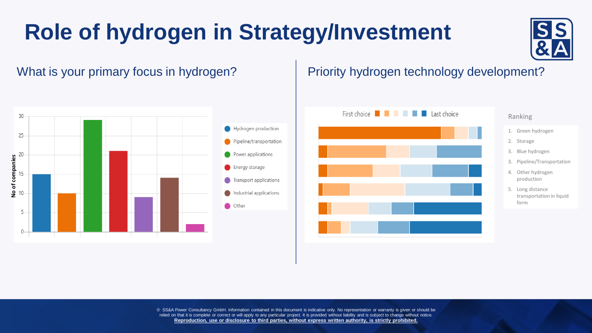### What is your primary focus in hydrogen?

Priority hydrogen technology development?



#### Ranking

- 1. Green hydrogen
- 2. Storage
- 3. Blue hydrogen
- 3. Pipeline/Transportation
- 4. Other hydrogen production
- 5. Long distance transportation in liquid form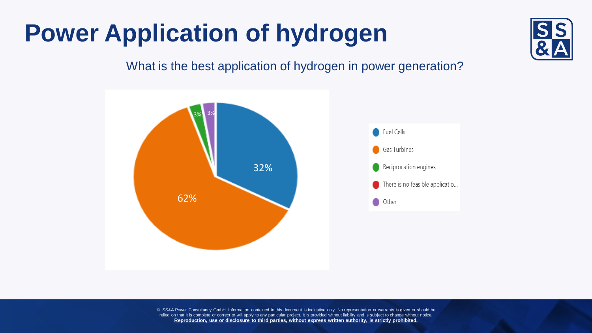# **Power Application of hydrogen**



What is the best application of hydrogen in power generation?

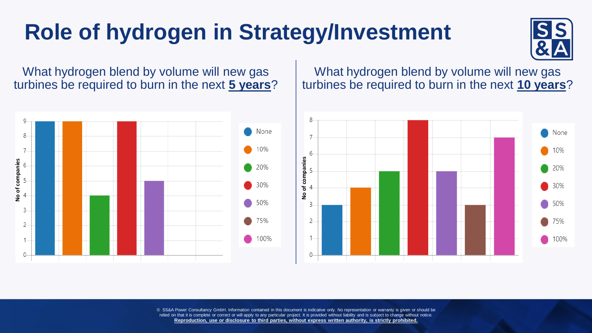

What hydrogen blend by volume will new gas turbines be required to burn in the next **5 years**?



What hydrogen blend by volume will new gas turbines be required to burn in the next **10 years**?

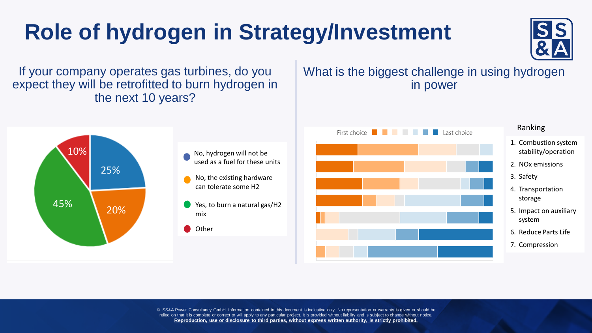If your company operates gas turbines, do you expect they will be retrofitted to burn hydrogen in the next 10 years?



- No, hydrogen will not be used as a fuel for these units
- No, the existing hardware can tolerate some H2
- Yes, to burn a natural gas/H2 mix
- **Other**





#### Ranking

- 1. Combustion system stability/operation
- 2. NOx emissions
- 3. Safety
- 4. Transportation storage
- 5. Impact on auxiliary system
- 6. Reduce Parts Life
- 7. Compression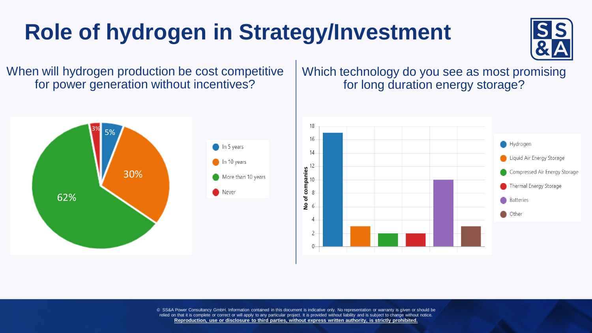

When will hydrogen production be cost competitive for power generation without incentives?

Which technology do you see as most promising for long duration energy storage?